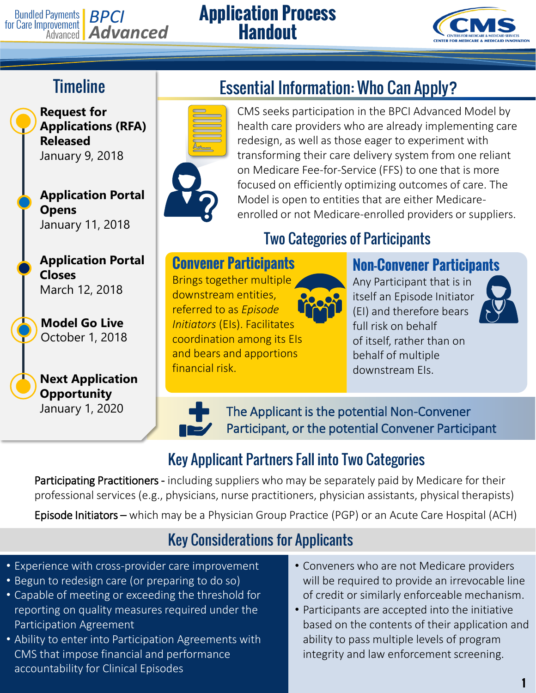# **Bundled Payments BPCI**<br>for Care Improvement **Advanced**

#### **Application Process Handout**



# **Timeline**

**Request for Applications (RFA) Released** January 9, 2018

**Application Portal Opens** January 11, 2018

**Application Portal Closes** March 12, 2018

**Model Go Live** October 1, 2018

#### **Next Application Opportunity** January 1, 2020



CMS seeks participation in the BPCI Advanced Model by health care providers who are already implementing care redesign, as well as those eager to experiment with transforming their care delivery system from one reliant on Medicare Fee-for-Service (FFS) to one that is more focused on efficiently optimizing outcomes of care. The Model is open to entities that are either Medicareenrolled or not Medicare-enrolled providers or suppliers.

#### Two Categories of Participants

**Convener Participants** Brings together multiple downstream entities, referred to as *Episode Initiators* (EIs). Facilitates coordination among its EIs and bears and apportions financial risk.



#### **Non-Convener Participants**

Any Participant that is in itself an Episode Initiator (EI) and therefore bears full risk on behalf of itself, rather than on behalf of multiple downstream EIs.



The Applicant is the potential Non-Convener Participant, or the potential Convener Participant

### Key Applicant Partners Fall into Two Categories

Participating Practitioners - including suppliers who may be separately paid by Medicare for their professional services (e.g., physicians, nurse practitioners, physician assistants, physical therapists)

Episode Initiators – which may be a Physician Group Practice (PGP) or an Acute Care Hospital (ACH)

#### Key Considerations for Applicants

- Experience with cross-provider care improvement
- Begun to redesign care (or preparing to do so)
- Capable of meeting or exceeding the threshold for reporting on quality measures required under the Participation Agreement
- Ability to enter into Participation Agreements with CMS that impose financial and performance accountability for Clinical Episodes
- Conveners who are not Medicare providers will be required to provide an irrevocable line of credit or similarly enforceable mechanism.
- Participants are accepted into the initiative based on the contents of their application and ability to pass multiple levels of program integrity and law enforcement screening.